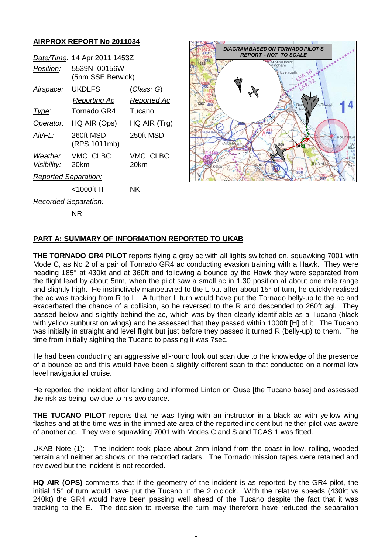## **AIRPROX REPORT No 2011034**

|                             | Date/Time: 14 Apr 2011 1453Z      |                    |
|-----------------------------|-----------------------------------|--------------------|
| <i>Position:</i>            | 5539N 00156W<br>(5nm SSE Berwick) |                    |
| <u>Airspace:</u>            | <b>UKDLFS</b>                     | <u>(Class</u> : G) |
|                             | Reporting Ac                      | Reported Ac        |
| Type:                       | Tornado GR4                       | Tucano             |
| Operator:                   | HQ AIR (Ops)                      | HQ AIR (Trg)       |
| Alt/FL:                     | 260ft MSD<br>(RPS 1011mb)         | 250ft MSD          |
| <i>Visibility:</i>          | Weather: VMC CLBC<br>20km         | VMC CLBC<br>20km   |
| <b>Reported Separation:</b> |                                   |                    |
|                             | <1000ft H                         | ΝK                 |
| <b>Recorded Separation:</b> |                                   |                    |
|                             | NR                                |                    |



## **PART A: SUMMARY OF INFORMATION REPORTED TO UKAB**

**THE TORNADO GR4 PILOT** reports flying a grey ac with all lights switched on, squawking 7001 with Mode C, as No 2 of a pair of Tornado GR4 ac conducting evasion training with a Hawk. They were heading 185° at 430kt and at 360ft and following a bounce by the Hawk they were separated from the flight lead by about 5nm, when the pilot saw a small ac in 1.30 position at about one mile range and slightly high. He instinctively manoeuvred to the L but after about 15° of turn, he quickly realised the ac was tracking from R to L. A further L turn would have put the Tornado belly-up to the ac and exacerbated the chance of a collision, so he reversed to the R and descended to 260ft agl. They passed below and slightly behind the ac, which was by then clearly identifiable as a Tucano (black with yellow sunburst on wings) and he assessed that they passed within 1000ft [H] of it. The Tucano was initially in straight and level flight but just before they passed it turned R (belly-up) to them. The time from initially sighting the Tucano to passing it was 7sec.

He had been conducting an aggressive all-round look out scan due to the knowledge of the presence of a bounce ac and this would have been a slightly different scan to that conducted on a normal low level navigational cruise.

He reported the incident after landing and informed Linton on Ouse [the Tucano base] and assessed the risk as being low due to his avoidance.

**THE TUCANO PILOT** reports that he was flying with an instructor in a black ac with yellow wing flashes and at the time was in the immediate area of the reported incident but neither pilot was aware of another ac. They were squawking 7001 with Modes C and S and TCAS 1 was fitted.

UKAB Note (1): The incident took place about 2nm inland from the coast in low, rolling, wooded terrain and neither ac shows on the recorded radars. The Tornado mission tapes were retained and reviewed but the incident is not recorded.

**HQ AIR (OPS)** comments that if the geometry of the incident is as reported by the GR4 pilot, the initial 15° of turn would have put the Tucano in the 2 o'clock. With the relative speeds (430kt vs 240kt) the GR4 would have been passing well ahead of the Tucano despite the fact that it was tracking to the E. The decision to reverse the turn may therefore have reduced the separation